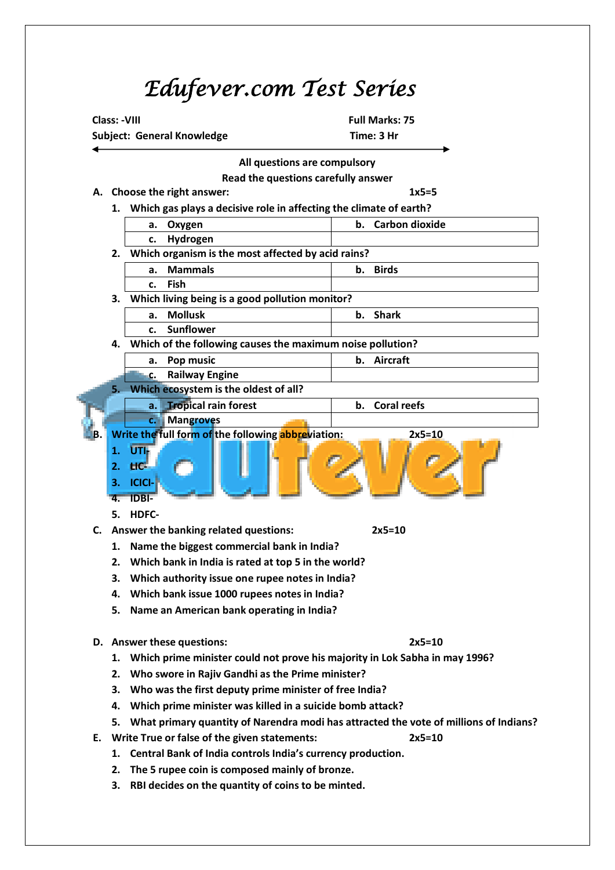## *Edufever.com Test Series*

**Class: -VIII Class: -VIII** 



**3. RBI decides on the quantity of coins to be minted.**